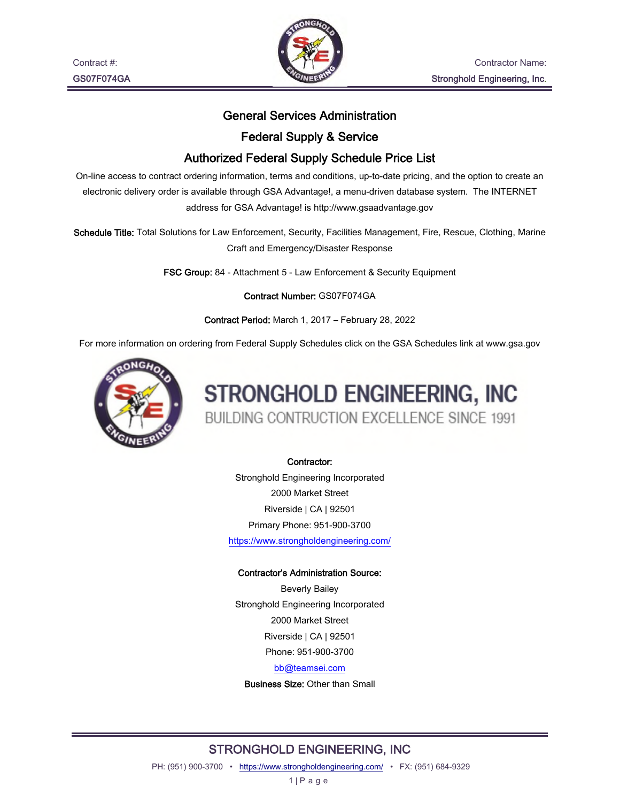

#### General Services Administration

#### Federal Supply & Service

### Authorized Federal Supply Schedule Price List

On-line access to contract ordering information, terms and conditions, up-to-date pricing, and the option to create an electronic delivery order is available through GSA Advantage!, a menu-driven database system. The INTERNET address for GSA Advantage! is http://www.gsaadvantage.gov

Schedule Title: Total Solutions for Law Enforcement, Security, Facilities Management, Fire, Rescue, Clothing, Marine Craft and Emergency/Disaster Response

FSC Group: 84 - Attachment 5 - Law Enforcement & Security Equipment

Contract Number: GS07F074GA

Contract Period: March 1, 2017 – February 28, 2022

For more information on ordering from Federal Supply Schedules click on the GSA Schedules link at www.gsa.gov



# STRONGHOLD ENGINEERING, INC BUILDING CONTRUCTION EXCELLENCE SINCE 1991

#### Contractor:

Stronghold Engineering Incorporated 2000 Market Street Riverside | CA | 92501 Primary Phone: 951-900-3700 https://www.strongholdengineering.com/

#### Contractor's Administration Source:

Beverly Bailey Stronghold Engineering Incorporated 2000 Market Street Riverside | CA | 92501 Phone: 951-900-3700 bb@teamsei.com

Business Size: Other than Small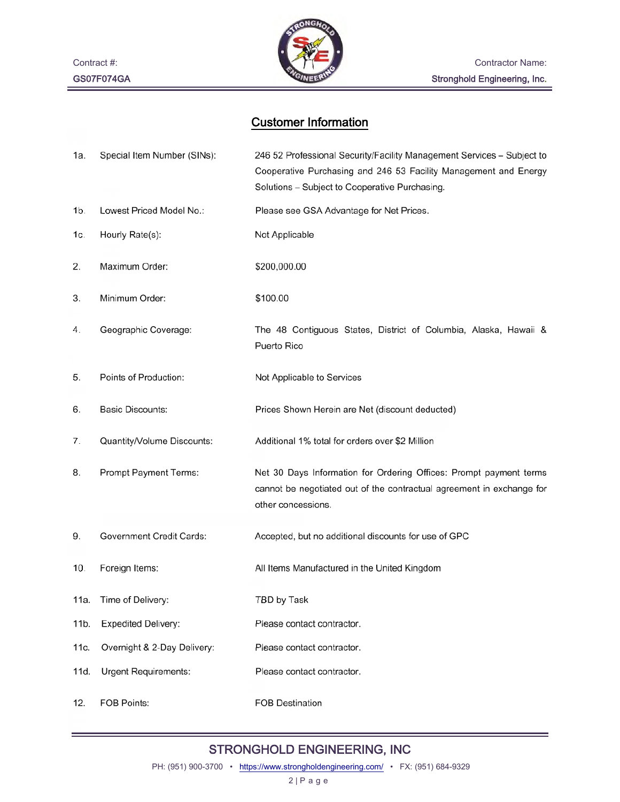Contract #: GS07F074GA



## Customer Information

| 1a.  | Special Item Number (SINs): | 246 52 Professional Security/Facility Management Services - Subject to<br>Cooperative Purchasing and 246 53 Facility Management and Energy<br>Solutions - Subject to Cooperative Purchasing. |
|------|-----------------------------|----------------------------------------------------------------------------------------------------------------------------------------------------------------------------------------------|
| 1b.  | Lowest Priced Model No.:    | Please see GSA Advantage for Net Prices.                                                                                                                                                     |
| 1c.  | Hourly Rate(s):             | Not Applicable                                                                                                                                                                               |
| 2.   | Maximum Order:              | \$200,000.00                                                                                                                                                                                 |
| 3.   | Minimum Order:              | \$100.00                                                                                                                                                                                     |
| 4.   | Geographic Coverage:        | The 48 Contiguous States, District of Columbia, Alaska, Hawaii &<br>Puerto Rico                                                                                                              |
| 5.   | Points of Production:       | Not Applicable to Services                                                                                                                                                                   |
| 6.   | <b>Basic Discounts:</b>     | Prices Shown Herein are Net (discount deducted)                                                                                                                                              |
| 7.   | Quantity/Volume Discounts:  | Additional 1% total for orders over \$2 Million                                                                                                                                              |
| 8.   | Prompt Payment Terms:       | Net 30 Days Information for Ordering Offices: Prompt payment terms<br>cannot be negotiated out of the contractual agreement in exchange for<br>other concessions.                            |
| 9.   | Government Credit Cards:    | Accepted, but no additional discounts for use of GPC                                                                                                                                         |
| 10.  | Foreign Items:              | All Items Manufactured in the United Kingdom                                                                                                                                                 |
| 11a. | Time of Delivery:           | TBD by Task                                                                                                                                                                                  |
| 11b. | <b>Expedited Delivery:</b>  | Please contact contractor.                                                                                                                                                                   |
| 11c. | Overnight & 2-Day Delivery: | Please contact contractor.                                                                                                                                                                   |
| 11d. | Urgent Requirements:        | Please contact contractor.                                                                                                                                                                   |
| 12.  | FOB Points:                 | <b>FOB Destination</b>                                                                                                                                                                       |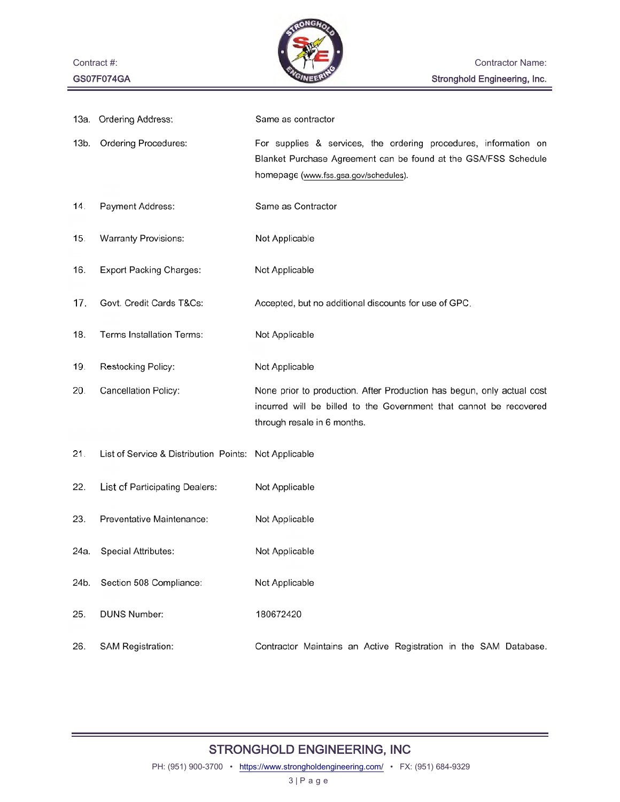

| 13а. | <b>Ordering Address:</b>               | Same as contractor                                                                                                                                                           |
|------|----------------------------------------|------------------------------------------------------------------------------------------------------------------------------------------------------------------------------|
| 13b. | Ordering Procedures:                   | For supplies & services, the ordering procedures, information on<br>Blanket Purchase Agreement can be found at the GSA/FSS Schedule<br>homepage (www.fss.gsa.gov/schedules). |
| 14.  | Payment Address:                       | Same as Contractor                                                                                                                                                           |
| 15.  | <b>Warranty Provisions:</b>            | Not Applicable                                                                                                                                                               |
| 16.  | <b>Export Packing Charges:</b>         | Not Applicable                                                                                                                                                               |
| 17.  | Govt. Credit Cards T&Cs:               | Accepted, but no additional discounts for use of GPC.                                                                                                                        |
| 18.  | Terms Installation Terms:              | Not Applicable                                                                                                                                                               |
| 19.  | Restocking Policy:                     | Not Applicable                                                                                                                                                               |
| 20.  | Cancellation Policy:                   | None prior to production. After Production has begun, only actual cost<br>incurred will be billed to the Government that cannot be recovered<br>through resale in 6 months.  |
| 21.  | List of Service & Distribution Points: | Not Applicable                                                                                                                                                               |
| 22.  | List of Participating Dealers:         | Not Applicable                                                                                                                                                               |
| 23.  | Preventative Maintenance:              | Not Applicable                                                                                                                                                               |
| 24a. |                                        |                                                                                                                                                                              |
|      | Special Attributes:                    | Not Applicable                                                                                                                                                               |
| 24b. | Section 508 Compliance:                | Not Applicable                                                                                                                                                               |
| 25.  | <b>DUNS Number:</b>                    | 180672420                                                                                                                                                                    |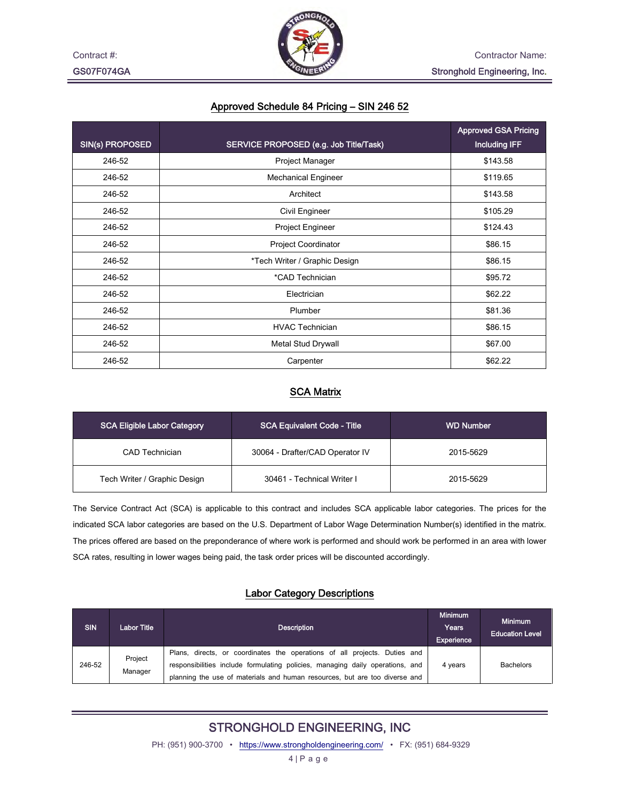

#### Approved Schedule 84 Pricing – SIN 246 52

|                 |                                        | <b>Approved GSA Pricing</b> |
|-----------------|----------------------------------------|-----------------------------|
| SIN(s) PROPOSED | SERVICE PROPOSED (e.g. Job Title/Task) | <b>Including IFF</b>        |
| 246-52          | Project Manager                        | \$143.58                    |
| 246-52          | <b>Mechanical Engineer</b>             | \$119.65                    |
| 246-52          | Architect                              | \$143.58                    |
| 246-52          | Civil Engineer                         | \$105.29                    |
| 246-52          | Project Engineer                       | \$124.43                    |
| 246-52          | <b>Project Coordinator</b>             | \$86.15                     |
| 246-52          | *Tech Writer / Graphic Design          | \$86.15                     |
| 246-52          | *CAD Technician                        | \$95.72                     |
| 246-52          | Electrician                            | \$62.22                     |
| 246-52          | Plumber                                | \$81.36                     |
| 246-52          | <b>HVAC Technician</b>                 | \$86.15                     |
| 246-52          | Metal Stud Drywall                     | \$67.00                     |
| 246-52          | Carpenter                              | \$62.22                     |

#### SCA Matrix

| SCA Eligible Labor Category  | <b>SCA Equivalent Code - Title</b> | <b>WD Number</b> |  |
|------------------------------|------------------------------------|------------------|--|
| CAD Technician               | 30064 - Drafter/CAD Operator IV    | 2015-5629        |  |
| Tech Writer / Graphic Design | 30461 - Technical Writer I         | 2015-5629        |  |

The Service Contract Act (SCA) is applicable to this contract and includes SCA applicable labor categories. The prices for the indicated SCA labor categories are based on the U.S. Department of Labor Wage Determination Number(s) identified in the matrix. The prices offered are based on the preponderance of where work is performed and should work be performed in an area with lower SCA rates, resulting in lower wages being paid, the task order prices will be discounted accordingly.

#### Labor Category Descriptions

| SIN    | <b>Labor Title</b> | <b>Description</b>                                                                                                                                                                                                                       | <b>Minimum</b><br>Years<br>Experience | <b>Minimum</b><br><b>Education Level</b> |
|--------|--------------------|------------------------------------------------------------------------------------------------------------------------------------------------------------------------------------------------------------------------------------------|---------------------------------------|------------------------------------------|
| 246-52 | Project<br>Manager | Plans, directs, or coordinates the operations of all projects. Duties and<br>responsibilities include formulating policies, managing daily operations, and<br>planning the use of materials and human resources, but are too diverse and | 4 years                               | <b>Bachelors</b>                         |

## STRONGHOLD ENGINEERING, INC

PH: (951) 900-3700 • https://www.strongholdengineering.com/ • FX: (951) 684-9329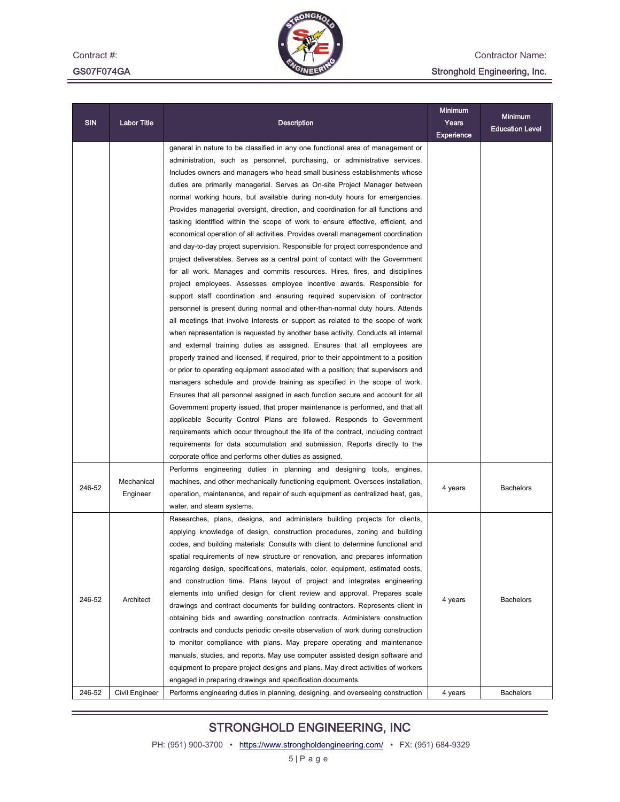Contract #: GS07F074GA



Contractor Name:

Stronghold Engineering, Inc.

| <b>SIN</b> | <b>Labor Title</b> | Description                                                                                                                                                                                                                                                                                                                                                                                                                                                                                                                                                                                                                                                                                                                                                                                                                                                                                                                                                                                                                                                                                                                                                                                                                                                                                                                                                                                                                                                                                                                                                                                                                                                                                                                                                                                                                                                                                                                                                                                                                                                                            |            | <b>Minimum</b>         |
|------------|--------------------|----------------------------------------------------------------------------------------------------------------------------------------------------------------------------------------------------------------------------------------------------------------------------------------------------------------------------------------------------------------------------------------------------------------------------------------------------------------------------------------------------------------------------------------------------------------------------------------------------------------------------------------------------------------------------------------------------------------------------------------------------------------------------------------------------------------------------------------------------------------------------------------------------------------------------------------------------------------------------------------------------------------------------------------------------------------------------------------------------------------------------------------------------------------------------------------------------------------------------------------------------------------------------------------------------------------------------------------------------------------------------------------------------------------------------------------------------------------------------------------------------------------------------------------------------------------------------------------------------------------------------------------------------------------------------------------------------------------------------------------------------------------------------------------------------------------------------------------------------------------------------------------------------------------------------------------------------------------------------------------------------------------------------------------------------------------------------------------|------------|------------------------|
|            |                    |                                                                                                                                                                                                                                                                                                                                                                                                                                                                                                                                                                                                                                                                                                                                                                                                                                                                                                                                                                                                                                                                                                                                                                                                                                                                                                                                                                                                                                                                                                                                                                                                                                                                                                                                                                                                                                                                                                                                                                                                                                                                                        | Experience | <b>Education Level</b> |
|            |                    | general in nature to be classified in any one functional area of management or<br>administration, such as personnel, purchasing, or administrative services.<br>Includes owners and managers who head small business establishments whose<br>duties are primarily managerial. Serves as On-site Project Manager between<br>normal working hours, but available during non-duty hours for emergencies.<br>Provides managerial oversight, direction, and coordination for all functions and<br>tasking identified within the scope of work to ensure effective, efficient, and<br>economical operation of all activities. Provides overall management coordination<br>and day-to-day project supervision. Responsible for project correspondence and<br>project deliverables. Serves as a central point of contact with the Government<br>for all work. Manages and commits resources. Hires, fires, and disciplines<br>project employees. Assesses employee incentive awards. Responsible for<br>support staff coordination and ensuring required supervision of contractor<br>personnel is present during normal and other-than-normal duty hours. Attends<br>all meetings that involve interests or support as related to the scope of work<br>when representation is requested by another base activity. Conducts all internal<br>and external training duties as assigned. Ensures that all employees are<br>properly trained and licensed, if required, prior to their appointment to a position<br>or prior to operating equipment associated with a position; that supervisors and<br>managers schedule and provide training as specified in the scope of work.<br>Ensures that all personnel assigned in each function secure and account for all<br>Government property issued, that proper maintenance is performed, and that all<br>applicable Security Control Plans are followed. Responds to Government<br>requirements which occur throughout the life of the contract, including contract<br>requirements for data accumulation and submission. Reports directly to the |            |                        |
|            | Mechanical         | corporate office and performs other duties as assigned.<br>Performs engineering duties in planning and designing tools, engines,<br>machines, and other mechanically functioning equipment. Oversees installation,                                                                                                                                                                                                                                                                                                                                                                                                                                                                                                                                                                                                                                                                                                                                                                                                                                                                                                                                                                                                                                                                                                                                                                                                                                                                                                                                                                                                                                                                                                                                                                                                                                                                                                                                                                                                                                                                     |            | <b>Bachelors</b>       |
| 246-52     | Engineer           | operation, maintenance, and repair of such equipment as centralized heat, gas,<br>water, and steam systems.                                                                                                                                                                                                                                                                                                                                                                                                                                                                                                                                                                                                                                                                                                                                                                                                                                                                                                                                                                                                                                                                                                                                                                                                                                                                                                                                                                                                                                                                                                                                                                                                                                                                                                                                                                                                                                                                                                                                                                            | 4 years    |                        |
| 246-52     | Architect          | Researches, plans, designs, and administers building projects for clients,<br>applying knowledge of design, construction procedures, zoning and building<br>codes, and building materials: Consults with client to determine functional and<br>spatial requirements of new structure or renovation, and prepares information<br>regarding design, specifications, materials, color, equipment, estimated costs,<br>and construction time. Plans layout of project and integrates engineering<br>elements into unified design for client review and approval. Prepares scale<br>drawings and contract documents for building contractors. Represents client in<br>obtaining bids and awarding construction contracts. Administers construction<br>contracts and conducts periodic on-site observation of work during construction<br>to monitor compliance with plans. May prepare operating and maintenance<br>manuals, studies, and reports. May use computer assisted design software and<br>equipment to prepare project designs and plans. May direct activities of workers<br>engaged in preparing drawings and specification documents.                                                                                                                                                                                                                                                                                                                                                                                                                                                                                                                                                                                                                                                                                                                                                                                                                                                                                                                                          | 4 years    | Bachelors              |
| 246-52     | Civil Engineer     | Performs engineering duties in planning, designing, and overseeing construction                                                                                                                                                                                                                                                                                                                                                                                                                                                                                                                                                                                                                                                                                                                                                                                                                                                                                                                                                                                                                                                                                                                                                                                                                                                                                                                                                                                                                                                                                                                                                                                                                                                                                                                                                                                                                                                                                                                                                                                                        | 4 years    | <b>Bachelors</b>       |

## STRONGHOLD ENGINEERING, INC

PH: (951) 900-3700 • https://www.strongholdengineering.com/ • FX: (951) 684-9329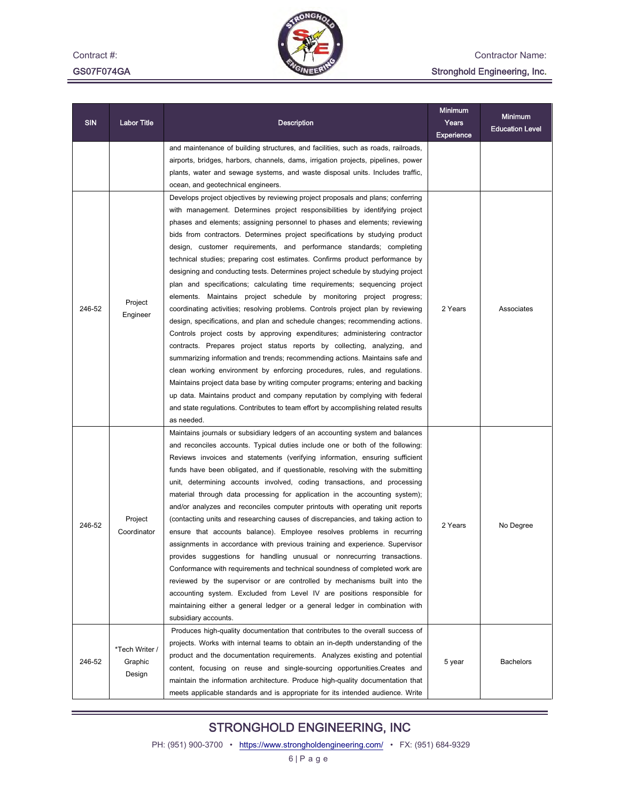Contract #: GS07F074GA



Contractor Name:

## Stronghold Engineering, Inc.

| SIN    | Labor Title                         | Description                                                                                                                                                                                                                                                                                                                                                                                                                                                                                                                                                                                                                                                                                                                                                                                                                                                                                                                                                                                                                                                                                                                                                                                                                                                                                                                                                                                                                                                                                    | <b>Minimum</b><br>Years<br>Experience | <b>Minimum</b><br><b>Education Level</b> |
|--------|-------------------------------------|------------------------------------------------------------------------------------------------------------------------------------------------------------------------------------------------------------------------------------------------------------------------------------------------------------------------------------------------------------------------------------------------------------------------------------------------------------------------------------------------------------------------------------------------------------------------------------------------------------------------------------------------------------------------------------------------------------------------------------------------------------------------------------------------------------------------------------------------------------------------------------------------------------------------------------------------------------------------------------------------------------------------------------------------------------------------------------------------------------------------------------------------------------------------------------------------------------------------------------------------------------------------------------------------------------------------------------------------------------------------------------------------------------------------------------------------------------------------------------------------|---------------------------------------|------------------------------------------|
|        |                                     | and maintenance of building structures, and facilities, such as roads, railroads,<br>airports, bridges, harbors, channels, dams, irrigation projects, pipelines, power<br>plants, water and sewage systems, and waste disposal units. Includes traffic,<br>ocean, and geotechnical engineers.                                                                                                                                                                                                                                                                                                                                                                                                                                                                                                                                                                                                                                                                                                                                                                                                                                                                                                                                                                                                                                                                                                                                                                                                  |                                       |                                          |
| 246-52 | Project<br>Engineer                 | Develops project objectives by reviewing project proposals and plans; conferring<br>with management. Determines project responsibilities by identifying project<br>phases and elements; assigning personnel to phases and elements; reviewing<br>bids from contractors. Determines project specifications by studying product<br>design, customer requirements, and performance standards; completing<br>technical studies; preparing cost estimates. Confirms product performance by<br>designing and conducting tests. Determines project schedule by studying project<br>plan and specifications; calculating time requirements; sequencing project<br>elements. Maintains project schedule by monitoring project progress;<br>coordinating activities; resolving problems. Controls project plan by reviewing<br>design, specifications, and plan and schedule changes; recommending actions.<br>Controls project costs by approving expenditures; administering contractor<br>contracts. Prepares project status reports by collecting, analyzing, and<br>summarizing information and trends; recommending actions. Maintains safe and<br>clean working environment by enforcing procedures, rules, and regulations.<br>Maintains project data base by writing computer programs; entering and backing<br>up data. Maintains product and company reputation by complying with federal<br>and state regulations. Contributes to team effort by accomplishing related results<br>as needed. | 2 Years                               | Associates                               |
| 246-52 | Project<br>Coordinator              | Maintains journals or subsidiary ledgers of an accounting system and balances<br>and reconciles accounts. Typical duties include one or both of the following:<br>Reviews invoices and statements (verifying information, ensuring sufficient<br>funds have been obligated, and if questionable, resolving with the submitting<br>unit, determining accounts involved, coding transactions, and processing<br>material through data processing for application in the accounting system);<br>and/or analyzes and reconciles computer printouts with operating unit reports<br>(contacting units and researching causes of discrepancies, and taking action to<br>ensure that accounts balance). Employee resolves problems in recurring<br>assignments in accordance with previous training and experience. Supervisor<br>provides suggestions for handling unusual or nonrecurring transactions.<br>Conformance with requirements and technical soundness of completed work are<br>reviewed by the supervisor or are controlled by mechanisms built into the<br>accounting system. Excluded from Level IV are positions responsible for<br>maintaining either a general ledger or a general ledger in combination with<br>subsidiary accounts.                                                                                                                                                                                                                                                | 2 Years                               | No Degree                                |
| 246-52 | *Tech Writer /<br>Graphic<br>Design | Produces high-quality documentation that contributes to the overall success of<br>projects. Works with internal teams to obtain an in-depth understanding of the<br>product and the documentation requirements. Analyzes existing and potential<br>content, focusing on reuse and single-sourcing opportunities. Creates and<br>maintain the information architecture. Produce high-quality documentation that<br>meets applicable standards and is appropriate for its intended audience. Write                                                                                                                                                                                                                                                                                                                                                                                                                                                                                                                                                                                                                                                                                                                                                                                                                                                                                                                                                                                               | 5 year                                | <b>Bachelors</b>                         |

## STRONGHOLD ENGINEERING, INC

PH: (951) 900-3700 • https://www.strongholdengineering.com/ • FX: (951) 684-9329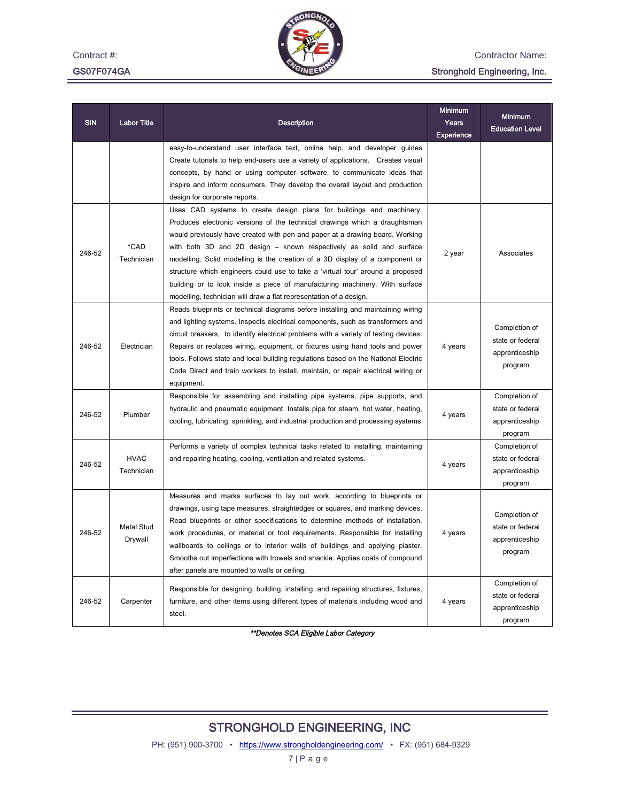Contract #:

GS07F074GA



Contractor Name:

#### Stronghold Engineering, Inc.

| <b>SIN</b> | <b>Labor Title</b>           | <b>Description</b>                                                                                                                                                                                                                                                                                                                                                                                                                                                                                                                                                                                                                | <b>Minimum</b><br>Years<br>Experience | <b>Minimum</b><br><b>Education Level</b>                       |
|------------|------------------------------|-----------------------------------------------------------------------------------------------------------------------------------------------------------------------------------------------------------------------------------------------------------------------------------------------------------------------------------------------------------------------------------------------------------------------------------------------------------------------------------------------------------------------------------------------------------------------------------------------------------------------------------|---------------------------------------|----------------------------------------------------------------|
|            |                              | easy-to-understand user interface text, online help, and developer guides<br>Create tutorials to help end-users use a variety of applications. Creates visual<br>concepts, by hand or using computer software, to communicate ideas that<br>inspire and inform consumers. They develop the overall layout and production<br>design for corporate reports.                                                                                                                                                                                                                                                                         |                                       |                                                                |
| 246-52     | *CAD<br>Technician           | Uses CAD systems to create design plans for buildings and machinery.<br>Produces electronic versions of the technical drawings which a draughtsman<br>would previously have created with pen and paper at a drawing board. Working<br>with both 3D and 2D design – known respectively as solid and surface<br>modelling. Solid modelling is the creation of a 3D display of a component or<br>structure which engineers could use to take a 'virtual tour' around a proposed<br>building or to look inside a piece of manufacturing machinery. With surface<br>modelling, technician will draw a flat representation of a design. | 2 year                                | Associates                                                     |
| 246-52     | Electrician                  | Reads blueprints or technical diagrams before installing and maintaining wiring<br>and lighting systems. Inspects electrical components, such as transformers and<br>circuit breakers, to identify electrical problems with a variety of testing devices.<br>Repairs or replaces wiring, equipment, or fixtures using hand tools and power<br>tools. Follows state and local building regulations based on the National Electric<br>Code Direct and train workers to install, maintain, or repair electrical wiring or<br>equipment.                                                                                              | 4 years                               | Completion of<br>state or federal<br>apprenticeship<br>program |
| 246-52     | Plumber                      | Responsible for assembling and installing pipe systems, pipe supports, and<br>hydraulic and pneumatic equipment. Installs pipe for steam, hot water, heating,<br>cooling, lubricating, sprinkling, and industrial production and processing systems                                                                                                                                                                                                                                                                                                                                                                               | 4 years                               | Completion of<br>state or federal<br>apprenticeship<br>program |
| 246-52     | <b>HVAC</b><br>Technician    | Performs a variety of complex technical tasks related to installing, maintaining<br>and repairing heating, cooling, ventilation and related systems.                                                                                                                                                                                                                                                                                                                                                                                                                                                                              | 4 years                               | Completion of<br>state or federal<br>apprenticeship<br>program |
| 246-52     | <b>Metal Stud</b><br>Drywall | Measures and marks surfaces to lay out work, according to blueprints or<br>drawings, using tape measures, straightedges or squares, and marking devices.<br>Read blueprints or other specifications to determine methods of installation,<br>work procedures, or material or tool requirements. Responsible for installing<br>wallboards to ceilings or to interior walls of buildings and applying plaster.<br>Smooths out imperfections with trowels and shackle. Applies coats of compound<br>after panels are mounted to walls or ceiling.                                                                                    | 4 years                               | Completion of<br>state or federal<br>apprenticeship<br>program |
| 246-52     | Carpenter                    | Responsible for designing, building, installing, and repairing structures, fixtures,<br>furniture, and other items using different types of materials including wood and<br>steel.                                                                                                                                                                                                                                                                                                                                                                                                                                                | 4 years                               | Completion of<br>state or federal<br>apprenticeship<br>program |

\*\*Denotes SCA Eligible Labor Category